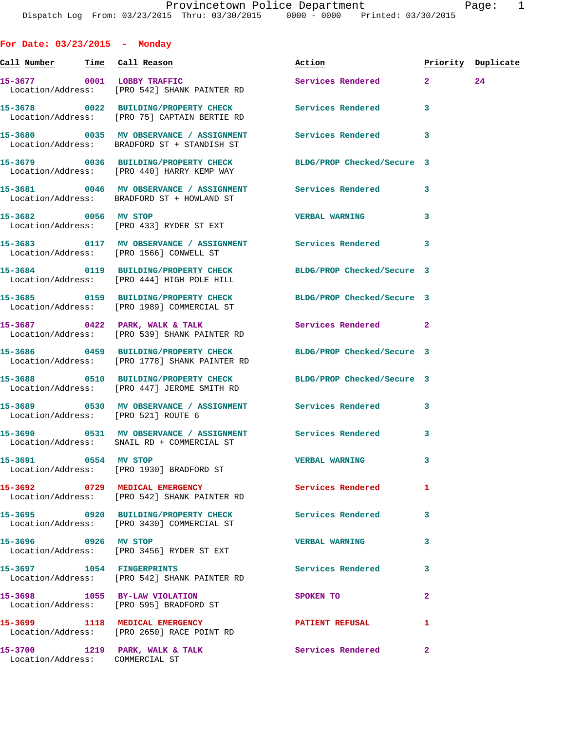**For Date: 03/23/2015 - Monday**

| <u>Call Number — Time Call Reason</u> |                                                                                                                  | Action                 |                         | Priority Duplicate |
|---------------------------------------|------------------------------------------------------------------------------------------------------------------|------------------------|-------------------------|--------------------|
| 15-3677 0001 LOBBY TRAFFIC            | Location/Address: [PRO 542] SHANK PAINTER RD                                                                     | Services Rendered 2    |                         | 24                 |
|                                       | 15-3678 0022 BUILDING/PROPERTY CHECK Services Rendered<br>Location/Address: [PRO 75] CAPTAIN BERTIE RD           |                        | 3                       |                    |
|                                       | 15-3680 0035 MV OBSERVANCE / ASSIGNMENT Services Rendered 3<br>Location/Address: BRADFORD ST + STANDISH ST       |                        |                         |                    |
|                                       | 15-3679 0036 BUILDING/PROPERTY CHECK BLDG/PROP Checked/Secure 3<br>Location/Address: [PRO 440] HARRY KEMP WAY    |                        |                         |                    |
|                                       | 15-3681 0046 MV OBSERVANCE / ASSIGNMENT Services Rendered<br>Location/Address: BRADFORD ST + HOWLAND ST          |                        | 3                       |                    |
| 15-3682 0056 MV STOP                  | Location/Address: [PRO 433] RYDER ST EXT                                                                         | <b>VERBAL WARNING</b>  | 3                       |                    |
|                                       | Location/Address: [PRO 1566] CONWELL ST                                                                          |                        | 3                       |                    |
|                                       | 15-3684 0119 BUILDING/PROPERTY CHECK BLDG/PROP Checked/Secure 3<br>Location/Address: [PRO 444] HIGH POLE HILL    |                        |                         |                    |
|                                       | 15-3685 0159 BUILDING/PROPERTY CHECK BLDG/PROP Checked/Secure 3<br>Location/Address: [PRO 1989] COMMERCIAL ST    |                        |                         |                    |
|                                       | 15-3687 0422 PARK, WALK & TALK<br>Location/Address: [PRO 539] SHANK PAINTER RD                                   | Services Rendered 2    |                         |                    |
|                                       | 15-3686 0459 BUILDING/PROPERTY CHECK BLDG/PROP Checked/Secure 3<br>Location/Address: [PRO 1778] SHANK PAINTER RD |                        |                         |                    |
|                                       | 15-3688 0510 BUILDING/PROPERTY CHECK BLDG/PROP Checked/Secure 3<br>Location/Address: [PRO 447] JEROME SMITH RD   |                        |                         |                    |
| Location/Address: [PRO 521] ROUTE 6   |                                                                                                                  |                        | 3                       |                    |
|                                       | 15-3690 0531 MV OBSERVANCE / ASSIGNMENT Services Rendered<br>Location/Address: SNAIL RD + COMMERCIAL ST          |                        | $\overline{\mathbf{3}}$ |                    |
| 15-3691 0554 MV STOP                  | Location/Address: [PRO 1930] BRADFORD ST                                                                         | <b>VERBAL WARNING</b>  | 3                       |                    |
|                                       | 15-3692 0729 MEDICAL EMERGENCY<br>Location/Address: [PRO 542] SHANK PAINTER RD                                   | Services Rendered      | 1                       |                    |
|                                       | 15-3695 0920 BUILDING/PROPERTY CHECK<br>Location/Address: [PRO 3430] COMMERCIAL ST                               | Services Rendered      | 3                       |                    |
| 15-3696 0926 MV STOP                  | Location/Address: [PRO 3456] RYDER ST EXT                                                                        | <b>VERBAL WARNING</b>  | 3                       |                    |
|                                       | 15-3697 1054 FINGERPRINTS<br>Location/Address: [PRO 542] SHANK PAINTER RD                                        | Services Rendered      | 3                       |                    |
|                                       | 15-3698 1055 BY-LAW VIOLATION<br>Location/Address: [PRO 595] BRADFORD ST                                         | SPOKEN TO              | $\overline{a}$          |                    |
|                                       | 15-3699 1118 MEDICAL EMERGENCY<br>Location/Address: [PRO 2650] RACE POINT RD                                     | <b>PATIENT REFUSAL</b> | 1                       |                    |
| Location/Address: COMMERCIAL ST       | 15-3700 1219 PARK, WALK & TALK Services Rendered                                                                 |                        | $\mathbf{2}$            |                    |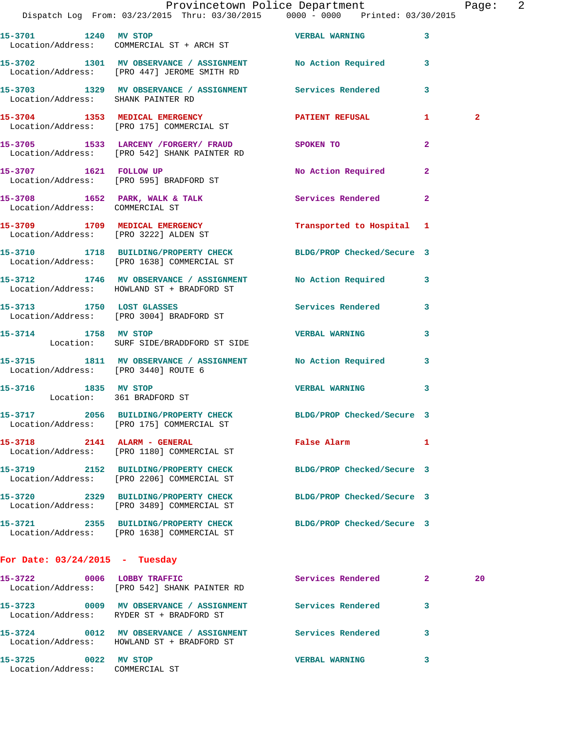|                                                         | Dispatch Log From: 03/23/2015 Thru: 03/30/2015 0000 - 0000 Printed: 03/30/2015                                | Provincetown Police Department |              | Page: 2      |  |
|---------------------------------------------------------|---------------------------------------------------------------------------------------------------------------|--------------------------------|--------------|--------------|--|
|                                                         | 15-3701 1240 MV STOP VERBAL WARNING 3<br>Location/Address: COMMERCIAL ST + ARCH ST                            |                                |              |              |  |
|                                                         | 15-3702 1301 MV OBSERVANCE / ASSIGNMENT No Action Required 3<br>Location/Address: [PRO 447] JEROME SMITH RD   |                                |              |              |  |
|                                                         | 15-3703 1329 MV OBSERVANCE / ASSIGNMENT Services Rendered 3<br>Location/Address: SHANK PAINTER RD             |                                |              |              |  |
|                                                         | 15-3704 1353 MEDICAL EMERGENCY PATIENT REFUSAL 1<br>Location/Address: [PRO 175] COMMERCIAL ST                 |                                |              | $\mathbf{2}$ |  |
|                                                         | 15-3705 1533 LARCENY / FORGERY FRAUD SPOKEN TO<br>Location/Address: [PRO 542] SHANK PAINTER RD                |                                | $\mathbf{2}$ |              |  |
|                                                         | 15-3707 1621 FOLLOW UP<br>Location/Address: [PRO 595] BRADFORD ST                                             | No Action Required 2           |              |              |  |
| Location/Address: COMMERCIAL ST                         | 15-3708 1652 PARK, WALK & TALK 1999 Services Rendered 2                                                       |                                |              |              |  |
|                                                         | 15-3709 1709 MEDICAL EMERGENCY 1 Transported to Hospital 1<br>Location/Address: [PRO 3222] ALDEN ST           |                                |              |              |  |
|                                                         | 15-3710 1718 BUILDING/PROPERTY CHECK BLDG/PROP Checked/Secure 3<br>Location/Address: [PRO 1638] COMMERCIAL ST |                                |              |              |  |
|                                                         | 15-3712 1746 MV OBSERVANCE / ASSIGNMENT No Action Required 3<br>Location/Address: HOWLAND ST + BRADFORD ST    |                                |              |              |  |
|                                                         | 15-3713 1750 LOST GLASSES<br>Location/Address: [PRO 3004] BRADFORD ST                                         | Services Rendered 3            |              |              |  |
|                                                         | 15-3714 1758 MV STOP<br>Location: SURF SIDE/BRADDFORD ST SIDE                                                 | <b>VERBAL WARNING</b>          | 3            |              |  |
|                                                         | 15-3715 1811 MV OBSERVANCE / ASSIGNMENT No Action Required 3<br>Location/Address: [PRO 3440] ROUTE 6          |                                |              |              |  |
| 15-3716 1835 MV STOP<br>Location: 361 BRADFORD ST       |                                                                                                               | VERBAL WARNING 3               |              |              |  |
|                                                         | 15-3717 2056 BUILDING/PROPERTY CHECK BLDG/PROP Checked/Secure 3<br>Location/Address: [PRO 175] COMMERCIAL ST  |                                |              |              |  |
|                                                         | 15-3718 2141 ALARM - GENERAL<br>Location/Address: [PRO 1180] COMMERCIAL ST                                    | <b>False Alarm</b>             | $\mathbf{1}$ |              |  |
|                                                         | 15-3719 2152 BUILDING/PROPERTY CHECK BLDG/PROP Checked/Secure 3<br>Location/Address: [PRO 2206] COMMERCIAL ST |                                |              |              |  |
|                                                         | 15-3720 2329 BUILDING/PROPERTY CHECK<br>Location/Address: [PRO 3489] COMMERCIAL ST                            | BLDG/PROP Checked/Secure 3     |              |              |  |
|                                                         | 15-3721 2355 BUILDING/PROPERTY CHECK BLDG/PROP Checked/Secure 3<br>Location/Address: [PRO 1638] COMMERCIAL ST |                                |              |              |  |
| For Date: $03/24/2015$ - Tuesday                        |                                                                                                               |                                |              |              |  |
| 15-3722                                                 | 0006 LOBBY TRAFFIC<br>Location/Address: [PRO 542] SHANK PAINTER RD                                            | Services Rendered 2            |              | 20           |  |
|                                                         | 15-3723 0009 MV OBSERVANCE / ASSIGNMENT Services Rendered<br>Location/Address: RYDER ST + BRADFORD ST         |                                | 3            |              |  |
|                                                         | 15-3724 0012 MV OBSERVANCE / ASSIGNMENT Services Rendered 3<br>Location/Address: HOWLAND ST + BRADFORD ST     |                                |              |              |  |
| 15-3725 0022 MV STOP<br>Location/Address: COMMERCIAL ST |                                                                                                               | <b>VERBAL WARNING</b>          | 3            |              |  |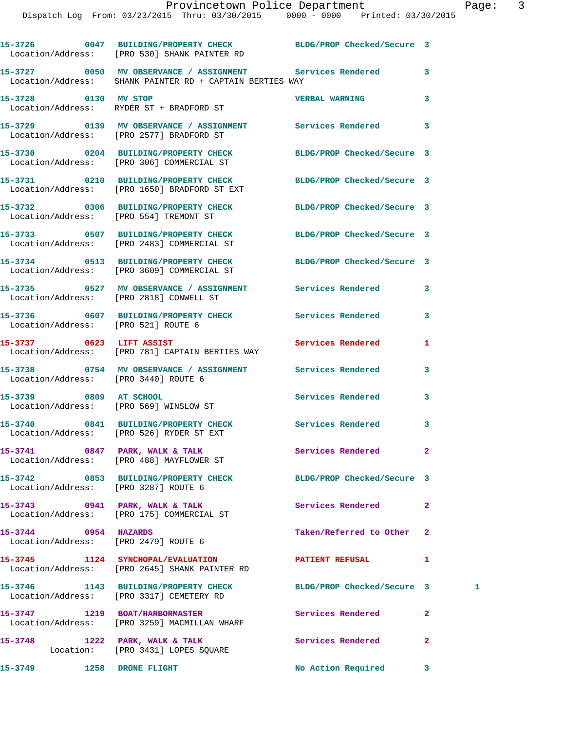|                                                              | 15-3726 0047 BUILDING/PROPERTY CHECK BLDG/PROP Checked/Secure 3<br>Location/Address: [PRO 530] SHANK PAINTER RD       |                            |                |   |
|--------------------------------------------------------------|-----------------------------------------------------------------------------------------------------------------------|----------------------------|----------------|---|
|                                                              | 15-3727 0050 MV OBSERVANCE / ASSIGNMENT Services Rendered<br>Location/Address: SHANK PAINTER RD + CAPTAIN BERTIES WAY |                            | 3              |   |
| 15-3728 0130 MV STOP                                         | Location/Address: RYDER ST + BRADFORD ST                                                                              | <b>VERBAL WARNING</b>      | 3              |   |
|                                                              | 15-3729 		 0139 MV OBSERVANCE / ASSIGNMENT Services Rendered<br>Location/Address: [PRO 2577] BRADFORD ST              |                            | 3              |   |
|                                                              | 15-3730 0204 BUILDING/PROPERTY CHECK BLDG/PROP Checked/Secure 3<br>Location/Address: [PRO 306] COMMERCIAL ST          |                            |                |   |
|                                                              | 15-3731 0210 BUILDING/PROPERTY CHECK BLDG/PROP Checked/Secure 3<br>Location/Address: [PRO 1650] BRADFORD ST EXT       |                            |                |   |
|                                                              | 15-3732 0306 BUILDING/PROPERTY CHECK BLDG/PROP Checked/Secure 3<br>Location/Address: [PRO 554] TREMONT ST             |                            |                |   |
|                                                              | 15-3733 0507 BUILDING/PROPERTY CHECK BLDG/PROP Checked/Secure 3<br>Location/Address: [PRO 2483] COMMERCIAL ST         |                            |                |   |
|                                                              | 15-3734 0513 BUILDING/PROPERTY CHECK BLDG/PROP Checked/Secure 3<br>Location/Address: [PRO 3609] COMMERCIAL ST         |                            |                |   |
|                                                              | 15-3735 0527 MV OBSERVANCE / ASSIGNMENT Services Rendered<br>Location/Address: [PRO 2818] CONWELL ST                  |                            | 3              |   |
| Location/Address: [PRO 521] ROUTE 6                          | 15-3736 0607 BUILDING/PROPERTY CHECK Services Rendered                                                                |                            | 3              |   |
| 15-3737 0623 LIFT ASSIST                                     | Location/Address: [PRO 781] CAPTAIN BERTIES WAY                                                                       | Services Rendered          | 1              |   |
| Location/Address: [PRO 3440] ROUTE 6                         | 15-3738 0754 MV OBSERVANCE / ASSIGNMENT Services Rendered                                                             |                            | 3              |   |
| 15-3739 0809 AT SCHOOL                                       | Location/Address: [PRO 569] WINSLOW ST                                                                                | Services Rendered          | 3              |   |
|                                                              | 15-3740 0841 BUILDING/PROPERTY CHECK Services Rendered<br>Location/Address: [PRO 526] RYDER ST EXT                    |                            | 3              |   |
|                                                              | 15-3741 0847 PARK, WALK & TALK<br>Location/Address: [PRO 488] MAYFLOWER ST                                            | <b>Services Rendered</b>   |                |   |
| Location/Address: [PRO 3287] ROUTE 6                         | 15-3742 0853 BUILDING/PROPERTY CHECK BLDG/PROP Checked/Secure 3                                                       |                            |                |   |
|                                                              | 15-3743 0941 PARK, WALK & TALK<br>Location/Address: [PRO 175] COMMERCIAL ST                                           | Services Rendered          | $\overline{a}$ |   |
| 15-3744 0954 HAZARDS<br>Location/Address: [PRO 2479] ROUTE 6 |                                                                                                                       | Taken/Referred to Other    | $\mathbf{2}$   |   |
|                                                              | 15-3745 1124 SYNCHOPAL/EVALUATION<br>Location/Address: [PRO 2645] SHANK PAINTER RD                                    | PATIENT REFUSAL            | 1              |   |
|                                                              | 15-3746 1143 BUILDING/PROPERTY CHECK<br>Location/Address: [PRO 3317] CEMETERY RD                                      | BLDG/PROP Checked/Secure 3 |                | 1 |
|                                                              | 15-3747 1219 BOAT/HARBORMASTER<br>Location/Address: [PRO 3259] MACMILLAN WHARF                                        | Services Rendered          | $\mathbf{2}$   |   |
|                                                              | 15-3748 1222 PARK, WALK & TALK<br>Location: [PRO 3431] LOPES SQUARE                                                   | Services Rendered          | $\overline{a}$ |   |
| 15-3749                                                      | <b>1258 DRONE FLIGHT</b>                                                                                              | No Action Required         | 3              |   |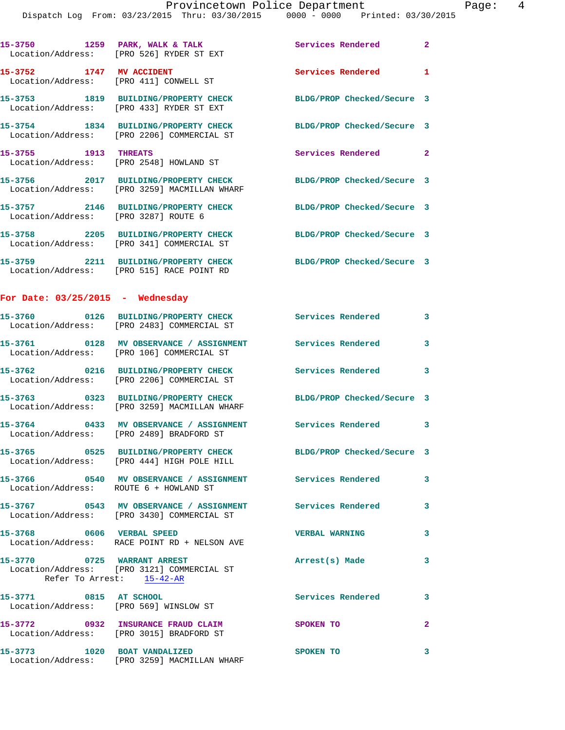| 15-3750 1259 PARK, WALK & TALK                                     | Location/Address: [PRO 526] RYDER ST EXT                                                                        | <b>Services Rendered 22 Services</b> |                         |
|--------------------------------------------------------------------|-----------------------------------------------------------------------------------------------------------------|--------------------------------------|-------------------------|
| 15-3752 1747 MV ACCIDENT<br>Location/Address: [PRO 411] CONWELL ST |                                                                                                                 | Services Rendered                    | $\mathbf{1}$            |
|                                                                    | 15-3753 1819 BUILDING/PROPERTY CHECK<br>Location/Address: [PRO 433] RYDER ST EXT                                | BLDG/PROP Checked/Secure 3           |                         |
|                                                                    | 15-3754 1834 BUILDING/PROPERTY CHECK<br>Location/Address: [PRO 2206] COMMERCIAL ST                              | BLDG/PROP Checked/Secure 3           |                         |
| 15-3755 1913 THREATS                                               | Location/Address: [PRO 2548] HOWLAND ST                                                                         | Services Rendered 2                  |                         |
|                                                                    | 15-3756 2017 BUILDING/PROPERTY CHECK<br>Location/Address: [PRO 3259] MACMILLAN WHARF                            | BLDG/PROP Checked/Secure 3           |                         |
| Location/Address: [PRO 3287] ROUTE 6                               | 15-3757 2146 BUILDING/PROPERTY CHECK BLDG/PROP Checked/Secure 3                                                 |                                      |                         |
|                                                                    | 15-3758 2205 BUILDING/PROPERTY CHECK<br>Location/Address: [PRO 341] COMMERCIAL ST                               | BLDG/PROP Checked/Secure 3           |                         |
|                                                                    | 15-3759 2211 BUILDING/PROPERTY CHECK<br>Location/Address: [PRO 515] RACE POINT RD                               | BLDG/PROP Checked/Secure 3           |                         |
| For Date: $03/25/2015$ - Wednesday                                 |                                                                                                                 |                                      |                         |
|                                                                    | 15-3760 0126 BUILDING/PROPERTY CHECK<br>Location/Address: [PRO 2483] COMMERCIAL ST                              | Services Rendered 3                  |                         |
|                                                                    | 15-3761 0128 MV OBSERVANCE / ASSIGNMENT<br>Location/Address: [PRO 106] COMMERCIAL ST                            | <b>Services Rendered</b>             | 3                       |
|                                                                    | 15-3762 0216 BUILDING/PROPERTY CHECK<br>Location/Address: [PRO 2206] COMMERCIAL ST                              | Services Rendered                    | 3                       |
|                                                                    | 15-3763 0323 BUILDING/PROPERTY CHECK BLDG/PROP Checked/Secure 3<br>Location/Address: [PRO 3259] MACMILLAN WHARF |                                      |                         |
|                                                                    | 15-3764 0433 MV OBSERVANCE / ASSIGNMENT<br>Location/Address: [PRO 2489] BRADFORD ST                             | Services Rendered 3                  |                         |
|                                                                    | 15-3765 0525 BUILDING/PROPERTY CHECK<br>Location/Address: [PRO 444] HIGH POLE HILL                              | BLDG/PROP Checked/Secure 3           |                         |
| Location/Address: ROUTE 6 + HOWLAND ST                             | 15-3766 0540 MV OBSERVANCE / ASSIGNMENT Services Rendered 3                                                     |                                      |                         |
|                                                                    |                                                                                                                 |                                      | 3                       |
| 15-3768 0606 VERBAL SPEED                                          | Location/Address: RACE POINT RD + NELSON AVE                                                                    | <b>VERBAL WARNING</b>                | $\overline{\mathbf{3}}$ |
| 15-3770 0725 WARRANT ARREST                                        | Location/Address: [PRO 3121] COMMERCIAL ST<br>Refer To Arrest: 15-42-AR                                         | Arrest(s) Made                       | 3                       |
| 15-3771 0815 AT SCHOOL                                             | Location/Address: [PRO 569] WINSLOW ST                                                                          | <b>Services Rendered</b>             | $\overline{\mathbf{3}}$ |
|                                                                    | 15-3772 0932 INSURANCE FRAUD CLAIM SPOKEN TO<br>Location/Address: [PRO 3015] BRADFORD ST                        |                                      | $\mathbf{2}$            |
|                                                                    | 15-3773 1020 BOAT VANDALIZED<br>Location/Address: [PRO 3259] MACMILLAN WHARF                                    | <b>SPOKEN TO</b>                     | 3                       |
|                                                                    |                                                                                                                 |                                      |                         |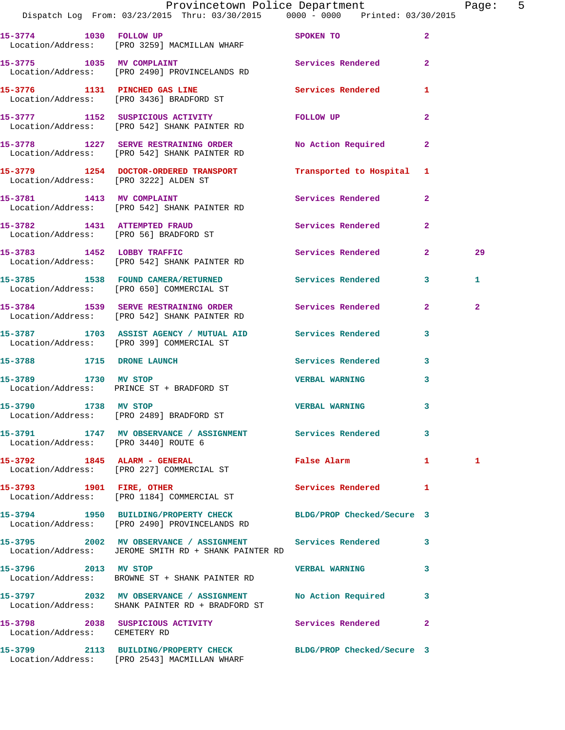|                                        | Provincetown Police Department<br>Dispatch Log From: 03/23/2015 Thru: 03/30/2015 0000 - 0000 Printed: 03/30/2015    |                                                                                                               |                         | Page: 5        |  |
|----------------------------------------|---------------------------------------------------------------------------------------------------------------------|---------------------------------------------------------------------------------------------------------------|-------------------------|----------------|--|
|                                        | 15-3774 1030 FOLLOW UP<br>Location/Address: [PRO 3259] MACMILLAN WHARF                                              | SPOKEN TO AND TO A STATE OF THE STATE OF THE STATE OF THE STATE OF THE STATE OF THE STATE OF THE STATE OF THE | $\overline{2}$          |                |  |
|                                        | 15-3775 1035 MV COMPLAINT<br>Location/Address: [PRO 2490] PROVINCELANDS RD                                          | Services Rendered 2                                                                                           |                         |                |  |
|                                        | 15-3776 1131 PINCHED GAS LINE<br>Location/Address: [PRO 3436] BRADFORD ST                                           | Services Rendered 1                                                                                           |                         |                |  |
|                                        | 15-3777 1152 SUSPICIOUS ACTIVITY<br>Location/Address: [PRO 542] SHANK PAINTER RD                                    | FOLLOW UP                                                                                                     | $\mathbf{2}$            |                |  |
|                                        | 15-3778 1227 SERVE RESTRAINING ORDER<br>Location/Address: [PRO 542] SHANK PAINTER RD                                | No Action Required                                                                                            | $\mathbf{2}$            |                |  |
| Location/Address: [PRO 3222] ALDEN ST  | 15-3779 1254 DOCTOR-ORDERED TRANSPORT                                                                               | Transported to Hospital 1                                                                                     |                         |                |  |
|                                        | 15-3781 1413 MV COMPLAINT<br>Location/Address: [PRO 542] SHANK PAINTER RD                                           | Services Rendered 2                                                                                           |                         |                |  |
| Location/Address: [PRO 56] BRADFORD ST | 15-3782 1431 ATTEMPTED FRAUD                                                                                        | Services Rendered 2                                                                                           |                         |                |  |
|                                        | 15-3783 1452 LOBBY TRAFFIC<br>Location/Address: [PRO 542] SHANK PAINTER RD                                          | Services Rendered 2                                                                                           |                         | 29             |  |
|                                        | 15-3785 1538 FOUND CAMERA/RETURNED<br>Location/Address: [PRO 650] COMMERCIAL ST                                     | Services Rendered 3                                                                                           |                         | 1              |  |
|                                        | 15-3784 1539 SERVE RESTRAINING ORDER Services Rendered 2<br>Location/Address: [PRO 542] SHANK PAINTER RD            |                                                                                                               |                         | $\overline{a}$ |  |
|                                        | 15-3787 1703 ASSIST AGENCY / MUTUAL AID Services Rendered<br>Location/Address: [PRO 399] COMMERCIAL ST              |                                                                                                               | $\mathbf{3}$            |                |  |
| 15-3788 1715 DRONE LAUNCH              |                                                                                                                     | Services Rendered 3                                                                                           |                         |                |  |
|                                        | 15-3789 1730 MV STOP<br>Location/Address: PRINCE ST + BRADFORD ST                                                   | <b>VERBAL WARNING</b>                                                                                         | 3                       |                |  |
| 1738 MV STOP<br>15-3790                | Location/Address: [PRO 2489] BRADFORD ST                                                                            | <b>VERBAL WARNING</b>                                                                                         | $\overline{\mathbf{3}}$ |                |  |
| Location/Address: [PRO 3440] ROUTE 6   | 15-3791 1747 MV OBSERVANCE / ASSIGNMENT Services Rendered 3                                                         |                                                                                                               |                         |                |  |
|                                        | 15-3792 1845 ALARM - GENERAL<br>Location/Address: [PRO 227] COMMERCIAL ST                                           | <b>False Alarm</b>                                                                                            |                         | 1              |  |
|                                        | 15-3793 1901 FIRE, OTHER<br>Location/Address: [PRO 1184] COMMERCIAL ST                                              | Services Rendered 1                                                                                           |                         |                |  |
|                                        | 15-3794 1950 BUILDING/PROPERTY CHECK BLDG/PROP Checked/Secure 3<br>Location/Address: [PRO 2490] PROVINCELANDS RD    |                                                                                                               |                         |                |  |
|                                        | 15-3795 2002 MV OBSERVANCE / ASSIGNMENT Services Rendered 3<br>Location/Address: JEROME SMITH RD + SHANK PAINTER RD |                                                                                                               |                         |                |  |
| 15-3796 2013 MV STOP                   | Location/Address: BROWNE ST + SHANK PAINTER RD                                                                      | VERBAL WARNING 3                                                                                              |                         |                |  |
|                                        | 15-3797 2032 MV OBSERVANCE / ASSIGNMENT No Action Required 3<br>Location/Address: SHANK PAINTER RD + BRADFORD ST    |                                                                                                               |                         |                |  |
| Location/Address: CEMETERY RD          | 15-3798 2038 SUSPICIOUS ACTIVITY Services Rendered 2                                                                |                                                                                                               |                         |                |  |
|                                        | 15-3799 2113 BUILDING/PROPERTY CHECK BLDG/PROP Checked/Secure 3<br>Location/Address: [PRO 2543] MACMILLAN WHARF     |                                                                                                               |                         |                |  |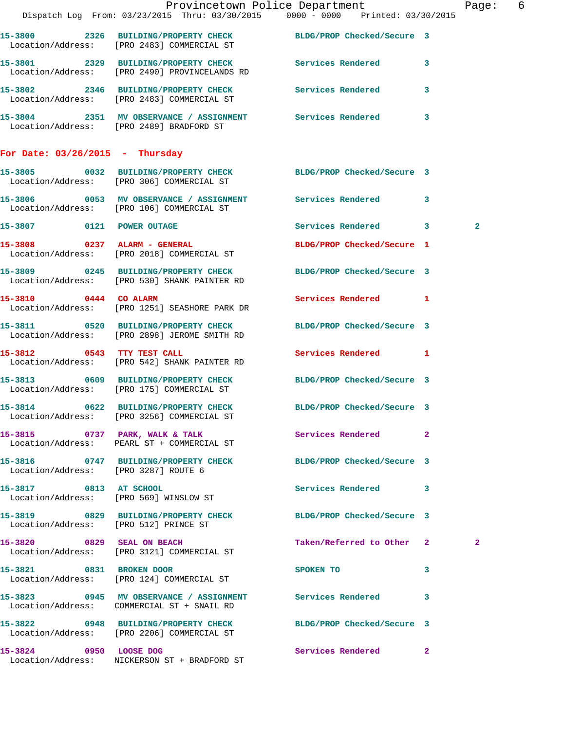|                                       |                                                                                                                 | Provincetown Police Department<br>Dispatch Log From: 03/23/2015 Thru: 03/30/2015 0000 - 0000 Printed: 03/30/2015 | -6<br>Page:  |
|---------------------------------------|-----------------------------------------------------------------------------------------------------------------|------------------------------------------------------------------------------------------------------------------|--------------|
|                                       | 15-3800 2326 BUILDING/PROPERTY CHECK BLDG/PROP Checked/Secure 3<br>Location/Address: [PRO 2483] COMMERCIAL ST   |                                                                                                                  |              |
|                                       | 15-3801 2329 BUILDING/PROPERTY CHECK Services Rendered 3<br>Location/Address: [PRO 2490] PROVINCELANDS RD       |                                                                                                                  |              |
|                                       | 15-3802 2346 BUILDING/PROPERTY CHECK<br>Location/Address: [PRO 2483] COMMERCIAL ST                              | Services Rendered<br>$\overline{\mathbf{3}}$                                                                     |              |
|                                       | 15-3804 2351 MV OBSERVANCE / ASSIGNMENT Services Rendered<br>Location/Address: [PRO 2489] BRADFORD ST           | 3                                                                                                                |              |
| For Date: $03/26/2015$ - Thursday     |                                                                                                                 |                                                                                                                  |              |
|                                       | 15-3805 0032 BUILDING/PROPERTY CHECK BLDG/PROP Checked/Secure 3<br>Location/Address: [PRO 306] COMMERCIAL ST    |                                                                                                                  |              |
|                                       | 15-3806 0053 MV OBSERVANCE / ASSIGNMENT Services Rendered 3<br>Location/Address: [PRO 106] COMMERCIAL ST        |                                                                                                                  |              |
| 15-3807 0121 POWER OUTAGE             |                                                                                                                 | Services Rendered 3                                                                                              | $\mathbf{2}$ |
|                                       | 15-3808 0237 ALARM - GENERAL<br>Location/Address: [PRO 2018] COMMERCIAL ST                                      | BLDG/PROP Checked/Secure 1                                                                                       |              |
|                                       | 15-3809 0245 BUILDING/PROPERTY CHECK BLDG/PROP Checked/Secure 3<br>Location/Address: [PRO 530] SHANK PAINTER RD |                                                                                                                  |              |
|                                       | 15-3810 0444 CO ALARM<br>Location/Address: [PRO 1251] SEASHORE PARK DR                                          | Services Rendered 1                                                                                              |              |
|                                       | 15-3811 0520 BUILDING/PROPERTY CHECK<br>Location/Address: [PRO 2898] JEROME SMITH RD                            | BLDG/PROP Checked/Secure 3                                                                                       |              |
|                                       | 15-3812 0543 TTY TEST CALL<br>Location/Address: [PRO 542] SHANK PAINTER RD                                      | Services Rendered 1                                                                                              |              |
|                                       | 15-3813 0609 BUILDING/PROPERTY CHECK<br>Location/Address: [PRO 175] COMMERCIAL ST                               | BLDG/PROP Checked/Secure 3                                                                                       |              |
|                                       | 15-3814 0622 BUILDING/PROPERTY CHECK BLDG/PROP Checked/Secure 3<br>Location/Address: [PRO 3256] COMMERCIAL ST   |                                                                                                                  |              |
|                                       | 15-3815 0737 PARK, WALK & TALK<br>Location/Address: PEARL ST + COMMERCIAL ST                                    | Services Rendered 2                                                                                              |              |
| Location/Address: [PRO 3287] ROUTE 6  | 15-3816 0747 BUILDING/PROPERTY CHECK BLDG/PROP Checked/Secure 3                                                 |                                                                                                                  |              |
| 15-3817 0813 AT SCHOOL                | Location/Address: [PRO 569] WINSLOW ST                                                                          | Services Rendered 3                                                                                              |              |
| Location/Address: [PRO 512] PRINCE ST | 15-3819 0829 BUILDING/PROPERTY CHECK                                                                            | BLDG/PROP Checked/Secure 3                                                                                       |              |
|                                       | 15-3820 0829 SEAL ON BEACH<br>Location/Address: [PRO 3121] COMMERCIAL ST                                        | Taken/Referred to Other 2                                                                                        | 2            |
|                                       | 15-3821 0831 BROKEN DOOR<br>Location/Address: [PRO 124] COMMERCIAL ST                                           | 3<br>SPOKEN TO                                                                                                   |              |
|                                       | 15-3823 0945 MV OBSERVANCE / ASSIGNMENT<br>Location/Address: COMMERCIAL ST + SNAIL RD                           | Services Rendered<br>-3                                                                                          |              |
|                                       | 15-3822 0948 BUILDING/PROPERTY CHECK BLDG/PROP Checked/Secure 3<br>Location/Address: [PRO 2206] COMMERCIAL ST   |                                                                                                                  |              |
| 15-3824 0950 LOOSE DOG                | Location/Address: NICKERSON ST + BRADFORD ST                                                                    | Services Rendered 2                                                                                              |              |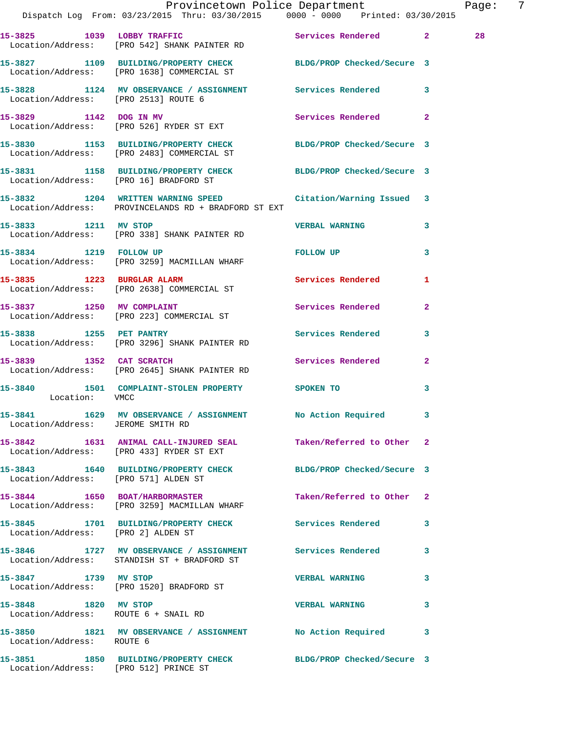|                                                              | Provincetown Police Department<br>Dispatch Log From: 03/23/2015 Thru: 03/30/2015 0000 - 0000 Printed: 03/30/2015 |                            |                | Page: | -7 |
|--------------------------------------------------------------|------------------------------------------------------------------------------------------------------------------|----------------------------|----------------|-------|----|
|                                                              | 15-3825 1039 LOBBY TRAFFIC<br>Location/Address: [PRO 542] SHANK PAINTER RD                                       | Services Rendered 2        |                | 28    |    |
|                                                              | 15-3827 1109 BUILDING/PROPERTY CHECK BLDG/PROP Checked/Secure 3<br>Location/Address: [PRO 1638] COMMERCIAL ST    |                            |                |       |    |
|                                                              | 15-3828 1124 MV OBSERVANCE / ASSIGNMENT Services Rendered 3<br>Location/Address: [PRO 2513] ROUTE 6              |                            |                |       |    |
|                                                              | 15-3829 1142 DOG IN MV<br>Location/Address: [PRO 526] RYDER ST EXT                                               | Services Rendered 2        |                |       |    |
|                                                              | 15-3830 1153 BUILDING/PROPERTY CHECK BLDG/PROP Checked/Secure 3<br>Location/Address: [PRO 2483] COMMERCIAL ST    |                            |                |       |    |
|                                                              | 15-3831 1158 BUILDING/PROPERTY CHECK BLDG/PROP Checked/Secure 3<br>Location/Address: [PRO 16] BRADFORD ST        |                            |                |       |    |
|                                                              | 15-3832 1204 WRITTEN WARNING SPEED<br>Location/Address: PROVINCELANDS RD + BRADFORD ST EXT                       | Citation/Warning Issued 3  |                |       |    |
|                                                              | 15-3833 1211 MV STOP 15-3833<br>Location/Address: [PRO 338] SHANK PAINTER RD                                     |                            | $\mathbf{3}$   |       |    |
| 15-3834 1219 FOLLOW UP                                       | Location/Address: [PRO 3259] MACMILLAN WHARF                                                                     | FOLLOW UP                  | $\mathbf{3}$   |       |    |
|                                                              | 15-3835 1223 BURGLAR ALARM<br>Location/Address: [PRO 2638] COMMERCIAL ST                                         | Services Rendered          | 1              |       |    |
|                                                              | 15-3837 1250 MV COMPLAINT<br>Location/Address: [PRO 223] COMMERCIAL ST                                           | Services Rendered          | $\overline{2}$ |       |    |
|                                                              | 15-3838 1255 PET PANTRY<br>Location/Address: [PRO 3296] SHANK PAINTER RD                                         | Services Rendered 3        |                |       |    |
|                                                              | 15-3839 1352 CAT SCRATCH<br>Location/Address: [PRO 2645] SHANK PAINTER RD                                        | Services Rendered 2        |                |       |    |
| Location: VMCC                                               | 15-3840 1501 COMPLAINT-STOLEN PROPERTY SPOKEN TO                                                                 |                            | $\mathbf{3}$   |       |    |
| Location/Address: JEROME SMITH RD                            | 15-3841 1629 MV OBSERVANCE / ASSIGNMENT No Action Required                                                       |                            |                |       |    |
|                                                              | 15-3842 1631 ANIMAL CALL-INJURED SEAL<br>Location/Address: [PRO 433] RYDER ST EXT                                | Taken/Referred to Other 2  |                |       |    |
| Location/Address: [PRO 571] ALDEN ST                         | 15-3843 1640 BUILDING/PROPERTY CHECK                                                                             | BLDG/PROP Checked/Secure 3 |                |       |    |
|                                                              | 15-3844 1650 BOAT/HARBORMASTER<br>Location/Address: [PRO 3259] MACMILLAN WHARF                                   | Taken/Referred to Other 2  |                |       |    |
| Location/Address: [PRO 2] ALDEN ST                           | 15-3845 1701 BUILDING/PROPERTY CHECK Services Rendered 3                                                         |                            |                |       |    |
|                                                              | 15-3846 1727 MV OBSERVANCE / ASSIGNMENT Services Rendered<br>Location/Address: STANDISH ST + BRADFORD ST         |                            | 3              |       |    |
| 15-3847 1739 MV STOP                                         | Location/Address: [PRO 1520] BRADFORD ST                                                                         | <b>VERBAL WARNING</b>      | 3              |       |    |
| 15-3848 1820 MV STOP<br>Location/Address: ROUTE 6 + SNAIL RD |                                                                                                                  | <b>VERBAL WARNING</b>      | 3              |       |    |
| Location/Address: ROUTE 6                                    | 15-3850 1821 MV OBSERVANCE / ASSIGNMENT No Action Required 3                                                     |                            |                |       |    |
| Location/Address: [PRO 512] PRINCE ST                        | 15-3851 1850 BUILDING/PROPERTY CHECK BLDG/PROP Checked/Secure 3                                                  |                            |                |       |    |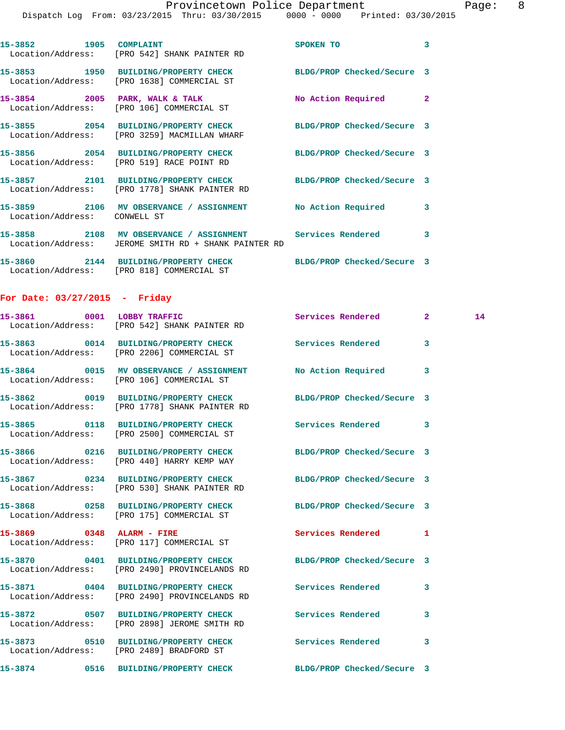|                                 |                                                                                                                   | Provincetown Police Department |              | Pag |
|---------------------------------|-------------------------------------------------------------------------------------------------------------------|--------------------------------|--------------|-----|
|                                 | Dispatch Log From: 03/23/2015 Thru: 03/30/2015 0000 - 0000 Printed: 03/30/2015                                    |                                |              |     |
|                                 | 15-3852 1905 COMPLAINT<br>Location/Address: [PRO 542] SHANK PAINTER RD                                            | <b>SPOKEN TO</b>               | 3            |     |
|                                 | 15-3853 1950 BUILDING/PROPERTY CHECK BLDG/PROP Checked/Secure 3<br>Location/Address: [PRO 1638] COMMERCIAL ST     |                                |              |     |
|                                 | 15-3854 2005 PARK, WALK & TALK<br>Location/Address: [PRO 106] COMMERCIAL ST                                       | No Action Required             | $\mathbf{2}$ |     |
|                                 | 15-3855 2054 BUILDING/PROPERTY CHECK BLDG/PROP Checked/Secure 3<br>Location/Address: [PRO 3259] MACMILLAN WHARF   |                                |              |     |
|                                 | 15-3856 2054 BUILDING/PROPERTY CHECK BLDG/PROP Checked/Secure 3<br>Location/Address: [PRO 519] RACE POINT RD      |                                |              |     |
|                                 | 15-3857 2101 BUILDING/PROPERTY CHECK BLDG/PROP Checked/Secure 3<br>Location/Address: [PRO 1778] SHANK PAINTER RD  |                                |              |     |
| Location/Address: CONWELL ST    | 15-3859 2106 MV OBSERVANCE / ASSIGNMENT No Action Required                                                        |                                | 3            |     |
|                                 | 15-3858 2108 MV OBSERVANCE / ASSIGNMENT Services Rendered<br>Location/Address: JEROME SMITH RD + SHANK PAINTER RD |                                | 3            |     |
|                                 | 15-3860 2144 BUILDING/PROPERTY CHECK BLDG/PROP Checked/Secure 3<br>Location/Address: [PRO 818] COMMERCIAL ST      |                                |              |     |
| For Date: $03/27/2015$ - Friday |                                                                                                                   |                                |              |     |
|                                 | 15-3861 0001 LOBBY TRAFFIC<br>Location/Address: [PRO 542] SHANK PAINTER RD                                        | Services Rendered              | $2^{\circ}$  | 14  |
|                                 | 15-3863 0014 BUILDING/PROPERTY CHECK Services Rendered<br>Location/Address: [PRO 2206] COMMERCIAL ST              |                                | 3            |     |
|                                 | 15-3864 0015 MV OBSERVANCE / ASSIGNMENT No Action Required<br>Location/Address: [PRO 106] COMMERCIAL ST           |                                | 3            |     |
|                                 | 15-3862 0019 BUILDING/PROPERTY CHECK BLDG/PROP Checked/Secure 3<br>Location/Address: [PRO 1778] SHANK PAINTER RD  |                                |              |     |
|                                 | 15-3865 0118 BUILDING/PROPERTY CHECK<br>Location/Address: [PRO 2500] COMMERCIAL ST                                | Services Rendered              | 3            |     |
|                                 | 15-3866 0216 BUILDING/PROPERTY CHECK<br>Location/Address: [PRO 440] HARRY KEMP WAY                                | BLDG/PROP Checked/Secure 3     |              |     |
|                                 | 15-3867 0234 BUILDING/PROPERTY CHECK<br>Location/Address: [PRO 530] SHANK PAINTER RD                              | BLDG/PROP Checked/Secure 3     |              |     |
|                                 | 15-3868 0258 BUILDING/PROPERTY CHECK<br>Location/Address: [PRO 175] COMMERCIAL ST                                 | BLDG/PROP Checked/Secure 3     |              |     |
| 15-3869 0348 ALARM - FIRE       | Location/Address: [PRO 117] COMMERCIAL ST                                                                         | <b>Services Rendered</b>       | 1            |     |
|                                 | 15-3870 0401 BUILDING/PROPERTY CHECK<br>Location/Address: [PRO 2490] PROVINCELANDS RD                             | BLDG/PROP Checked/Secure 3     |              |     |
| 15-3871                         | 0404 BUILDING/PROPERTY CHECK Services Rendered<br>Location/Address: [PRO 2490] PROVINCELANDS RD                   |                                | 3            |     |

**15-3872 0507 BUILDING/PROPERTY CHECK Services Rendered 3**  Location/Address: [PRO 2898] JEROME SMITH RD

**15-3873 0510 BUILDING/PROPERTY CHECK Services Rendered 3** 

Location/Address: [PRO 2489] BRADFORD ST

**15-3874 0516 BUILDING/PROPERTY CHECK BLDG/PROP Checked/Secure 3**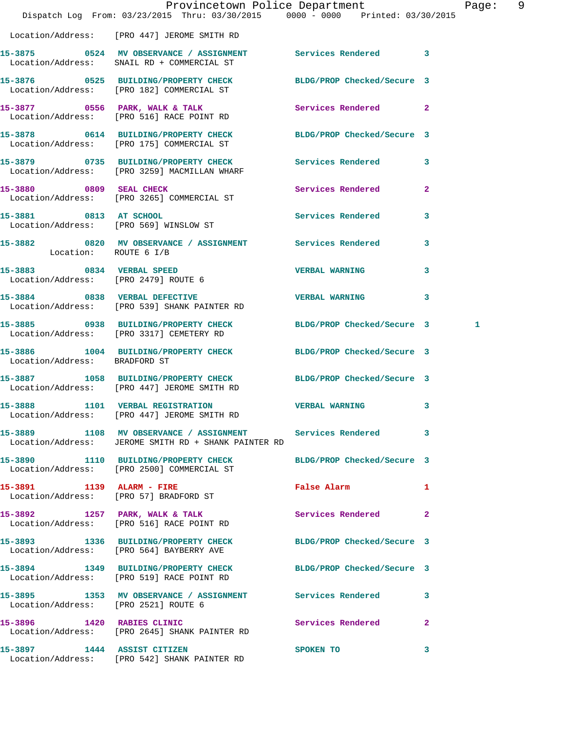|                                      | Provincetown Police Department<br>Dispatch Log From: 03/23/2015 Thru: 03/30/2015 0000 - 0000 Printed: 03/30/2015    |                          |                | Page: 9 |  |
|--------------------------------------|---------------------------------------------------------------------------------------------------------------------|--------------------------|----------------|---------|--|
|                                      | Location/Address: [PRO 447] JEROME SMITH RD                                                                         |                          |                |         |  |
|                                      | 15-3875 0524 MV OBSERVANCE / ASSIGNMENT Services Rendered 3<br>Location/Address: SNAIL RD + COMMERCIAL ST           |                          |                |         |  |
|                                      | 15-3876 0525 BUILDING/PROPERTY CHECK BLDG/PROP Checked/Secure 3<br>Location/Address: [PRO 182] COMMERCIAL ST        |                          |                |         |  |
|                                      | 15-3877 0556 PARK, WALK & TALK<br>Location/Address: [PRO 516] RACE POINT RD                                         | Services Rendered 2      |                |         |  |
|                                      | 15-3878 0614 BUILDING/PROPERTY CHECK BLDG/PROP Checked/Secure 3<br>Location/Address: [PRO 175] COMMERCIAL ST        |                          |                |         |  |
|                                      | 15-3879 0735 BUILDING/PROPERTY CHECK Services Rendered 3<br>Location/Address: [PRO 3259] MACMILLAN WHARF            |                          |                |         |  |
|                                      | 15-3880 0809 SEAL CHECK<br>Location/Address: [PRO 3265] COMMERCIAL ST                                               | <b>Services Rendered</b> | $\overline{2}$ |         |  |
|                                      | 15-3881 0813 AT SCHOOL<br>Location/Address: [PRO 569] WINSLOW ST                                                    | Services Rendered 3      |                |         |  |
| Location: ROUTE 6 I/B                | 15-3882 0820 MV OBSERVANCE / ASSIGNMENT Services Rendered 3                                                         |                          |                |         |  |
|                                      | 15-3883 0834 VERBAL SPEED<br>Location/Address: [PRO 2479] ROUTE 6                                                   | VERBAL WARNING 3         |                |         |  |
|                                      | 15-3884 0838 VERBAL DEFECTIVE<br>Location/Address: [PRO 539] SHANK PAINTER RD                                       | VERBAL WARNING 3         |                |         |  |
|                                      | 15-3885 0938 BUILDING/PROPERTY CHECK BLDG/PROP Checked/Secure 3<br>Location/Address: [PRO 3317] CEMETERY RD         |                          |                | 1       |  |
| Location/Address: BRADFORD ST        | 15-3886 1004 BUILDING/PROPERTY CHECK BLDG/PROP Checked/Secure 3                                                     |                          |                |         |  |
|                                      | 15-3887 1058 BUILDING/PROPERTY CHECK BLDG/PROP Checked/Secure 3<br>Location/Address: [PRO 447] JEROME SMITH RD      |                          |                |         |  |
|                                      | 15-3888 1101 VERBAL REGISTRATION VERBAL WARNING 3<br>Location/Address: [PRO 447] JEROME SMITH RD                    |                          |                |         |  |
|                                      | 15-3889 1108 MV OBSERVANCE / ASSIGNMENT Services Rendered 3<br>Location/Address: JEROME SMITH RD + SHANK PAINTER RD |                          |                |         |  |
|                                      | 15-3890 1110 BUILDING/PROPERTY CHECK BLDG/PROP Checked/Secure 3<br>Location/Address: [PRO 2500] COMMERCIAL ST       |                          |                |         |  |
|                                      | 15-3891 1139 ALARM - FIRE<br>Location/Address: [PRO 57] BRADFORD ST                                                 | False Alarm 1            |                |         |  |
|                                      | 15-3892 1257 PARK, WALK & TALK 1997 Services Rendered 2<br>Location/Address: [PRO 516] RACE POINT RD                |                          |                |         |  |
|                                      | 15-3893 1336 BUILDING/PROPERTY CHECK BLDG/PROP Checked/Secure 3<br>Location/Address: [PRO 564] BAYBERRY AVE         |                          |                |         |  |
|                                      | 15-3894 1349 BUILDING/PROPERTY CHECK BLDG/PROP Checked/Secure 3<br>Location/Address: [PRO 519] RACE POINT RD        |                          |                |         |  |
| Location/Address: [PRO 2521] ROUTE 6 | 15-3895 1353 MV OBSERVANCE / ASSIGNMENT Services Rendered 3                                                         |                          |                |         |  |
|                                      | 15-3896 1420 RABIES CLINIC<br>Location/Address: [PRO 2645] SHANK PAINTER RD                                         | Services Rendered 2      |                |         |  |
| 15-3897 1444 ASSIST CITIZEN          | Location/Address: [PRO 542] SHANK PAINTER RD                                                                        | <b>SPOKEN TO</b>         | 3              |         |  |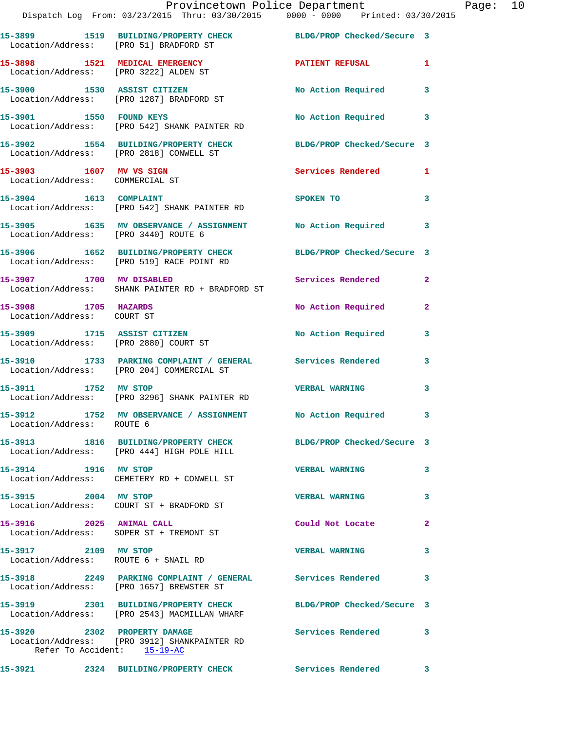|                                                              | Provincetown Police Department<br>Dispatch Log From: 03/23/2015 Thru: 03/30/2015 0000 - 0000 Printed: 03/30/2015 |                           |                |
|--------------------------------------------------------------|------------------------------------------------------------------------------------------------------------------|---------------------------|----------------|
|                                                              |                                                                                                                  |                           |                |
| Location/Address: [PRO 51] BRADFORD ST                       | 15-3899 1519 BUILDING/PROPERTY CHECK BLDG/PROP Checked/Secure 3                                                  |                           |                |
|                                                              | 15-3898 1521 MEDICAL EMERGENCY<br>Location/Address: [PRO 3222] ALDEN ST                                          | PATIENT REFUSAL           | 1              |
|                                                              | 15-3900 1530 ASSIST CITIZEN<br>Location/Address: [PRO 1287] BRADFORD ST                                          | No Action Required        | 3              |
| 15-3901 1550 FOUND KEYS                                      | Location/Address: [PRO 542] SHANK PAINTER RD                                                                     | <b>No Action Required</b> | 3              |
|                                                              | 15-3902 1554 BUILDING/PROPERTY CHECK BLDG/PROP Checked/Secure 3<br>Location/Address: [PRO 2818] CONWELL ST       |                           |                |
| 15-3903 1607 MV VS SIGN<br>Location/Address: COMMERCIAL ST   |                                                                                                                  | Services Rendered         | 1              |
|                                                              | 15-3904 1613 COMPLAINT<br>Location/Address: [PRO 542] SHANK PAINTER RD                                           | <b>SPOKEN TO</b>          | 3              |
| Location/Address: [PRO 3440] ROUTE 6                         | 15-3905 1635 MV OBSERVANCE / ASSIGNMENT No Action Required                                                       |                           | 3              |
|                                                              | 15-3906 1652 BUILDING/PROPERTY CHECK BLDG/PROP Checked/Secure 3<br>Location/Address: [PRO 519] RACE POINT RD     |                           |                |
| 15-3907 1700 MV DISABLED                                     | Location/Address: SHANK PAINTER RD + BRADFORD ST                                                                 | Services Rendered         | $\mathbf{2}$   |
| 15-3908 1705 HAZARDS<br>Location/Address: COURT ST           |                                                                                                                  | No Action Required        | $\overline{2}$ |
|                                                              | 15-3909 1715 ASSIST CITIZEN<br>Location/Address: [PRO 2880] COURT ST                                             | No Action Required        | 3              |
|                                                              | 15-3910 1733 PARKING COMPLAINT / GENERAL Services Rendered<br>Location/Address: [PRO 204] COMMERCIAL ST          |                           | 3              |
| 15-3911 1752 MV STOP                                         | Location/Address: [PRO 3296] SHANK PAINTER RD                                                                    | <b>VERBAL WARNING</b>     | 3              |
| Location/Address: ROUTE 6                                    | 15-3912 1752 MV OBSERVANCE / ASSIGNMENT                                                                          | No Action Required 3      |                |
|                                                              | 15-3913 1816 BUILDING/PROPERTY CHECK BLDG/PROP Checked/Secure 3<br>Location/Address: [PRO 444] HIGH POLE HILL    |                           |                |
| 15-3914 1916 MV STOP                                         | Location/Address: CEMETERY RD + CONWELL ST                                                                       | <b>VERBAL WARNING</b>     | 3              |
| 15-3915 2004 MV STOP                                         | Location/Address: COURT ST + BRADFORD ST                                                                         | <b>VERBAL WARNING</b>     | 3              |
| 15-3916 2025 ANIMAL CALL                                     | Location/Address: SOPER ST + TREMONT ST                                                                          | Could Not Locate          | 2              |
| 15-3917 2109 MV STOP<br>Location/Address: ROUTE 6 + SNAIL RD |                                                                                                                  | <b>VERBAL WARNING</b>     | 3              |
|                                                              | 15-3918 2249 PARKING COMPLAINT / GENERAL Services Rendered<br>Location/Address: [PRO 1657] BREWSTER ST           |                           | 3              |
|                                                              | 15-3919 2301 BUILDING/PROPERTY CHECK BLDG/PROP Checked/Secure 3<br>Location/Address: [PRO 2543] MACMILLAN WHARF  |                           |                |
| 15-3920 2302 PROPERTY DAMAGE<br>Refer To Accident: 15-19-AC  | Location/Address: [PRO 3912] SHANKPAINTER RD                                                                     | Services Rendered         | 3              |
| 15-3921                                                      | 2324 BUILDING/PROPERTY CHECK Services Rendered                                                                   |                           | 3              |

Page: 10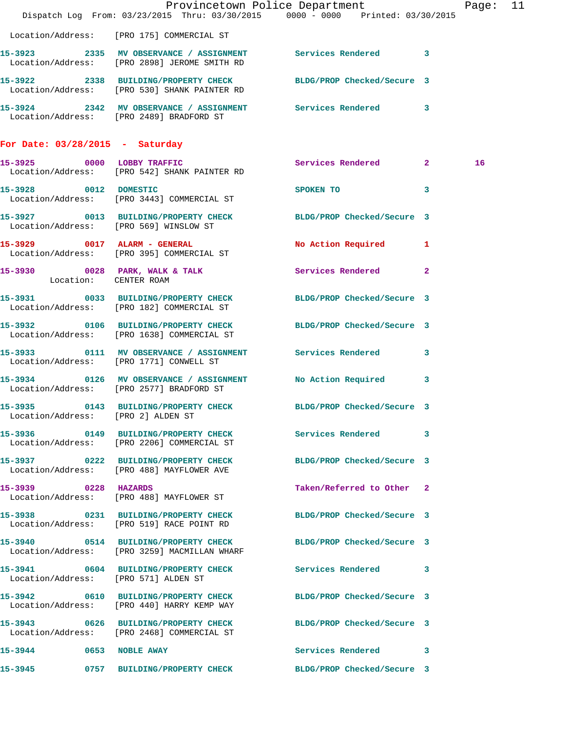|                                      | Dispatch Log From: 03/23/2015 Thru: 03/30/2015 0000 - 0000 Printed: 03/30/2015                                  | Provincetown Police Department                                                                                                                                                                                                                 | Page: 11 |  |
|--------------------------------------|-----------------------------------------------------------------------------------------------------------------|------------------------------------------------------------------------------------------------------------------------------------------------------------------------------------------------------------------------------------------------|----------|--|
|                                      | Location/Address: [PRO 175] COMMERCIAL ST                                                                       |                                                                                                                                                                                                                                                |          |  |
|                                      | 15-3923 2335 MV OBSERVANCE / ASSIGNMENT Services Rendered 3<br>Location/Address: [PRO 2898] JEROME SMITH RD     |                                                                                                                                                                                                                                                |          |  |
|                                      | 15-3922 2338 BUILDING/PROPERTY CHECK BLDG/PROP Checked/Secure 3<br>Location/Address: [PRO 530] SHANK PAINTER RD |                                                                                                                                                                                                                                                |          |  |
|                                      | 15-3924 2342 MV OBSERVANCE / ASSIGNMENT Services Rendered 3<br>Location/Address: [PRO 2489] BRADFORD ST         |                                                                                                                                                                                                                                                |          |  |
| For Date: $03/28/2015$ - Saturday    |                                                                                                                 |                                                                                                                                                                                                                                                |          |  |
|                                      | 15-3925 0000 LOBBY TRAFFIC<br>Location/Address: [PRO 542] SHANK PAINTER RD                                      | Services Rendered 2                                                                                                                                                                                                                            | 16       |  |
|                                      | 15-3928 0012 DOMESTIC<br>Location/Address: [PRO 3443] COMMERCIAL ST                                             | SPOKEN TO THE SPOKEN OF THE SPOKEN OF THE SPOKEN OF THE SPOKEN OF THE SPOKEN OF THE SPOKEN OF THE SPOKEN OF THE SPOKEN OF THE SPOKEN OF THE SPOKEN OF THE SPOKEN OF THE SPOKEN OF THE SPOKEN OF THE SPOKEN OF THE SPOKEN OF TH<br>$\mathbf{3}$ |          |  |
|                                      | 15-3927 0013 BUILDING/PROPERTY CHECK BLDG/PROP Checked/Secure 3<br>Location/Address: [PRO 569] WINSLOW ST       |                                                                                                                                                                                                                                                |          |  |
|                                      | 15-3929 0017 ALARM - GENERAL<br>Location/Address: [PRO 395] COMMERCIAL ST                                       | No Action Required 1                                                                                                                                                                                                                           |          |  |
| Location: CENTER ROAM                | 15-3930 0028 PARK, WALK & TALK                                                                                  | Services Rendered<br>$\overline{2}$                                                                                                                                                                                                            |          |  |
|                                      | 15-3931 0033 BUILDING/PROPERTY CHECK BLDG/PROP Checked/Secure 3<br>Location/Address: [PRO 182] COMMERCIAL ST    |                                                                                                                                                                                                                                                |          |  |
|                                      | 15-3932 0106 BUILDING/PROPERTY CHECK<br>Location/Address: [PRO 1638] COMMERCIAL ST                              | BLDG/PROP Checked/Secure 3                                                                                                                                                                                                                     |          |  |
|                                      | 15-3933 0111 MV OBSERVANCE / ASSIGNMENT Services Rendered 3<br>Location/Address: [PRO 1771] CONWELL ST          |                                                                                                                                                                                                                                                |          |  |
|                                      | 15-3934 0126 MV OBSERVANCE / ASSIGNMENT<br>Location/Address: [PRO 2577] BRADFORD ST                             | No Action Required 3                                                                                                                                                                                                                           |          |  |
| Location/Address: [PRO 2] ALDEN ST   | 15-3935 0143 BUILDING/PROPERTY CHECK BLDG/PROP Checked/Secure 3                                                 |                                                                                                                                                                                                                                                |          |  |
|                                      | 15-3936 0149 BUILDING/PROPERTY CHECK<br>Location/Address: [PRO 2206] COMMERCIAL ST                              | Services Rendered 3                                                                                                                                                                                                                            |          |  |
|                                      | 15-3937 0222 BUILDING/PROPERTY CHECK<br>Location/Address: [PRO 488] MAYFLOWER AVE                               | BLDG/PROP Checked/Secure 3                                                                                                                                                                                                                     |          |  |
| 15-3939 0228 HAZARDS                 | Location/Address: [PRO 488] MAYFLOWER ST                                                                        | Taken/Referred to Other 2                                                                                                                                                                                                                      |          |  |
|                                      | 15-3938 0231 BUILDING/PROPERTY CHECK<br>Location/Address: [PRO 519] RACE POINT RD                               | BLDG/PROP Checked/Secure 3                                                                                                                                                                                                                     |          |  |
|                                      | 15-3940 0514 BUILDING/PROPERTY CHECK BLDG/PROP Checked/Secure 3<br>Location/Address: [PRO 3259] MACMILLAN WHARF |                                                                                                                                                                                                                                                |          |  |
| Location/Address: [PRO 571] ALDEN ST | 15-3941 0604 BUILDING/PROPERTY CHECK Services Rendered 3                                                        |                                                                                                                                                                                                                                                |          |  |
|                                      | 15-3942 0610 BUILDING/PROPERTY CHECK<br>Location/Address: [PRO 440] HARRY KEMP WAY                              | BLDG/PROP Checked/Secure 3                                                                                                                                                                                                                     |          |  |
|                                      | 15-3943 0626 BUILDING/PROPERTY CHECK BLDG/PROP Checked/Secure 3<br>Location/Address: [PRO 2468] COMMERCIAL ST   |                                                                                                                                                                                                                                                |          |  |
| 15-3944 0653 NOBLE AWAY              |                                                                                                                 | Services Rendered 3                                                                                                                                                                                                                            |          |  |
| 15-3945                              | 0757 BUILDING/PROPERTY CHECK BLDG/PROP Checked/Secure 3                                                         |                                                                                                                                                                                                                                                |          |  |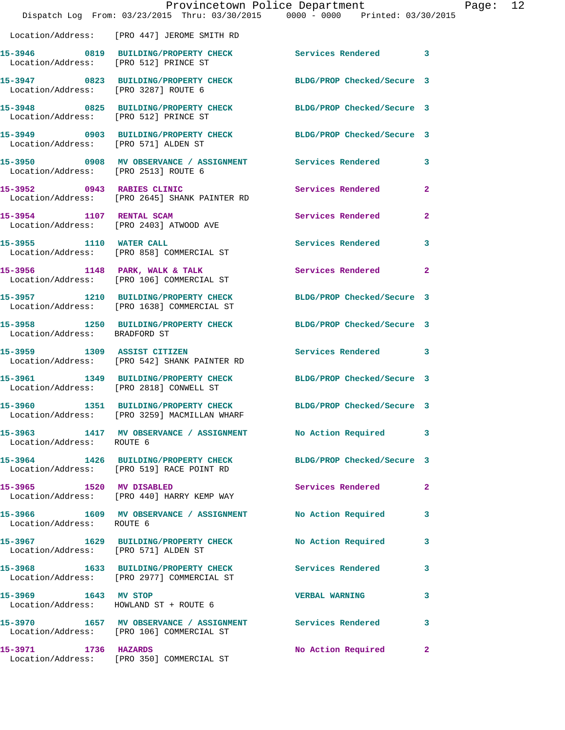|                                       | Dispatch Log From: 03/23/2015 Thru: 03/30/2015 0000 - 0000 Printed: 03/30/2015                                | Provincetown Police Department | Page: 12       |  |
|---------------------------------------|---------------------------------------------------------------------------------------------------------------|--------------------------------|----------------|--|
|                                       | Location/Address: [PRO 447] JEROME SMITH RD                                                                   |                                |                |  |
| Location/Address: [PRO 512] PRINCE ST | 15-3946 0819 BUILDING/PROPERTY CHECK Services Rendered 3                                                      |                                |                |  |
| Location/Address: [PRO 3287] ROUTE 6  | 15-3947 0823 BUILDING/PROPERTY CHECK BLDG/PROP Checked/Secure 3                                               |                                |                |  |
| Location/Address: [PRO 512] PRINCE ST | 15-3948 0825 BUILDING/PROPERTY CHECK BLDG/PROP Checked/Secure 3                                               |                                |                |  |
| Location/Address: [PRO 571] ALDEN ST  | 15-3949 0903 BUILDING/PROPERTY CHECK BLDG/PROP Checked/Secure 3                                               |                                |                |  |
| Location/Address: [PRO 2513] ROUTE 6  | 15-3950 0908 MV OBSERVANCE / ASSIGNMENT Services Rendered 3                                                   |                                |                |  |
|                                       | 15-3952 0943 RABIES CLINIC<br>Location/Address: [PRO 2645] SHANK PAINTER RD                                   | Services Rendered              | $\mathbf{2}$   |  |
| 15-3954 1107 RENTAL SCAM              | Location/Address: [PRO 2403] ATWOOD AVE                                                                       | Services Rendered              | $\overline{2}$ |  |
|                                       | 15-3955 1110 WATER CALL<br>Location/Address: [PRO 858] COMMERCIAL ST                                          | Services Rendered 3            |                |  |
|                                       | 15-3956 1148 PARK, WALK & TALK<br>Location/Address: [PRO 106] COMMERCIAL ST                                   | Services Rendered 2            |                |  |
|                                       | 15-3957 1210 BUILDING/PROPERTY CHECK BLDG/PROP Checked/Secure 3<br>Location/Address: [PRO 1638] COMMERCIAL ST |                                |                |  |
| Location/Address: BRADFORD ST         | 15-3958 1250 BUILDING/PROPERTY CHECK BLDG/PROP Checked/Secure 3                                               |                                |                |  |
|                                       | 15-3959 1309 ASSIST CITIZEN<br>Location/Address: [PRO 542] SHANK PAINTER RD                                   | Services Rendered 3            |                |  |
|                                       | 15-3961 1349 BUILDING/PROPERTY CHECK BLDG/PROP Checked/Secure 3<br>Location/Address: [PRO 2818] CONWELL ST    |                                |                |  |
| 15-3960                               | 1351 BUILDING/PROPERTY CHECK BLDG/PROP Checked/Secure 3<br>Location/Address: [PRO 3259] MACMILLAN WHARF       |                                |                |  |
| Location/Address: ROUTE 6             | 15-3963 1417 MV OBSERVANCE / ASSIGNMENT No Action Required 3                                                  |                                |                |  |
|                                       | 15-3964 1426 BUILDING/PROPERTY CHECK<br>Location/Address: [PRO 519] RACE POINT RD                             | BLDG/PROP Checked/Secure 3     |                |  |
|                                       | 15-3965 1520 MV DISABLED<br>Location/Address: [PRO 440] HARRY KEMP WAY                                        | Services Rendered              | $\mathbf{2}$   |  |
| Location/Address: ROUTE 6             | 15-3966 1609 MV OBSERVANCE / ASSIGNMENT No Action Required 3                                                  |                                |                |  |
| Location/Address: [PRO 571] ALDEN ST  | 15-3967 1629 BUILDING/PROPERTY CHECK                                                                          | <b>No Action Required</b>      | 3              |  |
|                                       | 15-3968 1633 BUILDING/PROPERTY CHECK Services Rendered 3<br>Location/Address: [PRO 2977] COMMERCIAL ST        |                                |                |  |
|                                       | 15-3969 1643 MV STOP<br>Location/Address: HOWLAND ST + ROUTE 6                                                | <b>VERBAL WARNING</b>          | 3              |  |
|                                       | 15-3970 1657 MV OBSERVANCE / ASSIGNMENT Services Rendered 3<br>Location/Address: [PRO 106] COMMERCIAL ST      |                                |                |  |
|                                       | 15-3971 1736 HAZARDS<br>Location/Address: [PRO 350] COMMERCIAL ST                                             | No Action Required             | $\mathbf{2}$   |  |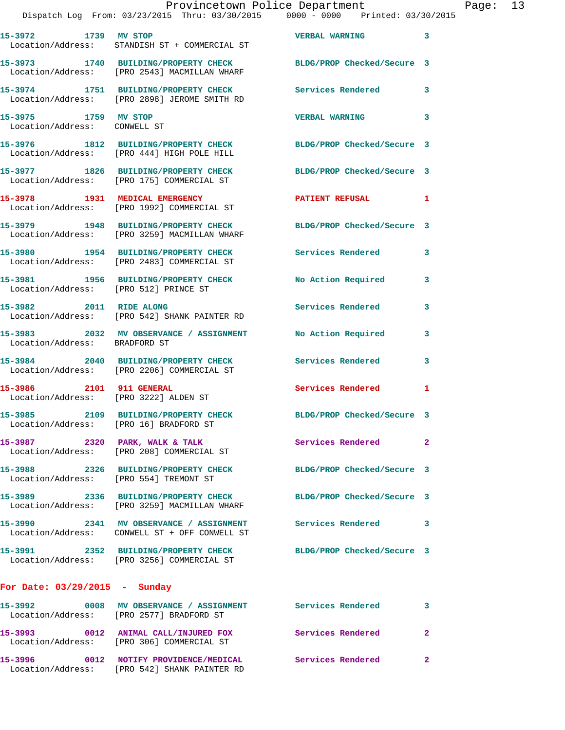|                                                      | Provincetown Police Department<br>Dispatch Log From: 03/23/2015 Thru: 03/30/2015 0000 - 0000 Printed: 03/30/2015 |                            |              | Page: 13 |  |
|------------------------------------------------------|------------------------------------------------------------------------------------------------------------------|----------------------------|--------------|----------|--|
|                                                      | 15-3972 1739 MV STOP 15-3972 2012 VERBAL WARNING<br>Location/Address: STANDISH ST + COMMERCIAL ST                |                            |              |          |  |
|                                                      | 15-3973 1740 BUILDING/PROPERTY CHECK BLDG/PROP Checked/Secure 3<br>Location/Address: [PRO 2543] MACMILLAN WHARF  |                            |              |          |  |
|                                                      | 15-3974 1751 BUILDING/PROPERTY CHECK Services Rendered 3<br>Location/Address: [PRO 2898] JEROME SMITH RD         |                            |              |          |  |
| 15-3975 1759 MV STOP<br>Location/Address: CONWELL ST |                                                                                                                  | VERBAL WARNING 3           |              |          |  |
|                                                      | 15-3976 1812 BUILDING/PROPERTY CHECK BLDG/PROP Checked/Secure 3<br>Location/Address: [PRO 444] HIGH POLE HILL    |                            |              |          |  |
|                                                      | 15-3977 1826 BUILDING/PROPERTY CHECK BLDG/PROP Checked/Secure 3<br>Location/Address: [PRO 175] COMMERCIAL ST     |                            |              |          |  |
|                                                      | 15-3978 1931 MEDICAL EMERGENCY PATIENT REFUSAL 1<br>Location/Address: [PRO 1992] COMMERCIAL ST                   |                            |              |          |  |
|                                                      | 15-3979 1948 BUILDING/PROPERTY CHECK BLDG/PROP Checked/Secure 3<br>Location/Address: [PRO 3259] MACMILLAN WHARF  |                            |              |          |  |
|                                                      | 15-3980 1954 BUILDING/PROPERTY CHECK Services Rendered 3<br>Location/Address: [PRO 2483] COMMERCIAL ST           |                            |              |          |  |
|                                                      | 15-3981 1956 BUILDING/PROPERTY CHECK No Action Required 3<br>Location/Address: [PRO 512] PRINCE ST               |                            |              |          |  |
|                                                      | 15-3982 2011 RIDE ALONG<br>Location/Address: [PRO 542] SHANK PAINTER RD                                          | Services Rendered 3        |              |          |  |
| Location/Address: BRADFORD ST                        | 15-3983 2032 MV OBSERVANCE / ASSIGNMENT No Action Required                                                       |                            | 3            |          |  |
|                                                      | 15-3984 2040 BUILDING/PROPERTY CHECK Services Rendered 3<br>Location/Address: [PRO 2206] COMMERCIAL ST           |                            |              |          |  |
| Location/Address: [PRO 3222] ALDEN ST                | 15-3986 2101 911 GENERAL                                                                                         | Services Rendered          | $\mathbf{1}$ |          |  |
|                                                      | 15-3985 2109 BUILDING/PROPERTY CHECK<br>Location/Address: [PRO 16] BRADFORD ST                                   | BLDG/PROP Checked/Secure 3 |              |          |  |
|                                                      | 15-3987 2320 PARK, WALK & TALK<br>Location/Address: [PRO 208] COMMERCIAL ST                                      | Services Rendered 2        |              |          |  |
|                                                      | 15-3988 2326 BUILDING/PROPERTY CHECK BLDG/PROP Checked/Secure 3<br>Location/Address: [PRO 554] TREMONT ST        |                            |              |          |  |
|                                                      | 15-3989 2336 BUILDING/PROPERTY CHECK BLDG/PROP Checked/Secure 3<br>Location/Address: [PRO 3259] MACMILLAN WHARF  |                            |              |          |  |
|                                                      | 15-3990 2341 MV OBSERVANCE / ASSIGNMENT<br>Location/Address: CONWELL ST + OFF CONWELL ST                         | Services Rendered 3        |              |          |  |
|                                                      | 15-3991 2352 BUILDING/PROPERTY CHECK BLDG/PROP Checked/Secure 3<br>Location/Address: [PRO 3256] COMMERCIAL ST    |                            |              |          |  |
| For Date: 03/29/2015 - Sunday                        |                                                                                                                  |                            |              |          |  |
|                                                      | 15-3992 0008 MV OBSERVANCE / ASSIGNMENT Services Rendered<br>Location/Address: [PRO 2577] BRADFORD ST            |                            | 3            |          |  |
|                                                      | 15-3993 0012 ANIMAL CALL/INJURED FOX Services Rendered<br>Location/Address: [PRO 306] COMMERCIAL ST              |                            | $\mathbf{2}$ |          |  |
|                                                      | 15-3996 0012 NOTIFY PROVIDENCE/MEDICAL Services Rendered                                                         |                            | $\mathbf{2}$ |          |  |

Location/Address: [PRO 542] SHANK PAINTER RD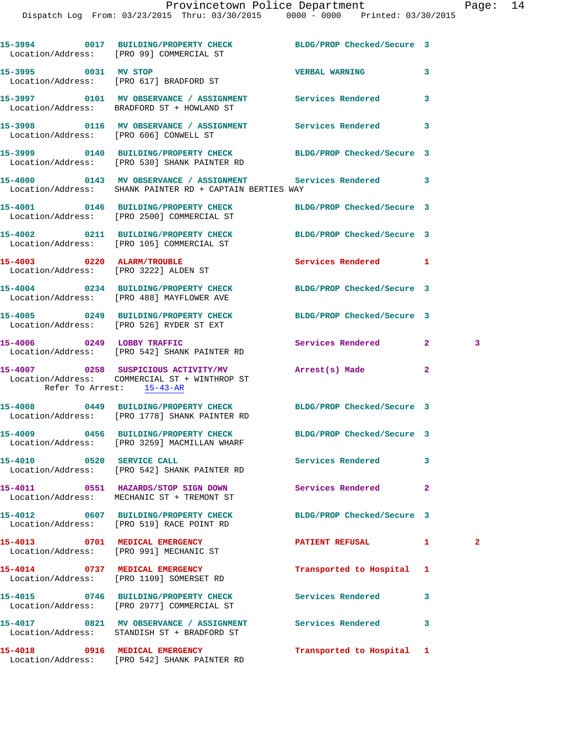|                                                                     | 15-3994 0017 BUILDING/PROPERTY CHECK<br>Location/Address: [PRO 99] COMMERCIAL ST                                       | BLDG/PROP Checked/Secure 3 |              |   |
|---------------------------------------------------------------------|------------------------------------------------------------------------------------------------------------------------|----------------------------|--------------|---|
| 15-3995 0031 MV STOP                                                | Location/Address: [PRO 617] BRADFORD ST                                                                                | <b>VERBAL WARNING</b>      | 3            |   |
|                                                                     | Location/Address: BRADFORD ST + HOWLAND ST                                                                             |                            | 3            |   |
| Location/Address: [PRO 606] CONWELL ST                              | 15-3998 0116 MV OBSERVANCE / ASSIGNMENT Services Rendered                                                              |                            | 3            |   |
|                                                                     | 15-3999 0140 BUILDING/PROPERTY CHECK BLDG/PROP Checked/Secure 3<br>Location/Address: [PRO 530] SHANK PAINTER RD        |                            |              |   |
|                                                                     | 15-4000  0143 MV OBSERVANCE / ASSIGNMENT Services Rendered<br>Location/Address: SHANK PAINTER RD + CAPTAIN BERTIES WAY |                            | 3            |   |
|                                                                     | 15-4001 0146 BUILDING/PROPERTY CHECK BLDG/PROP Checked/Secure 3<br>Location/Address: [PRO 2500] COMMERCIAL ST          |                            |              |   |
|                                                                     | 15-4002 0211 BUILDING/PROPERTY CHECK<br>Location/Address: [PRO 105] COMMERCIAL ST                                      | BLDG/PROP Checked/Secure 3 |              |   |
| 15-4003 0220 ALARM/TROUBLE<br>Location/Address: [PRO 3222] ALDEN ST |                                                                                                                        | <b>Services Rendered</b>   | 1            |   |
|                                                                     | 15-4004 0234 BUILDING/PROPERTY CHECK<br>Location/Address: [PRO 488] MAYFLOWER AVE                                      | BLDG/PROP Checked/Secure 3 |              |   |
|                                                                     | 15-4005 0249 BUILDING/PROPERTY CHECK<br>Location/Address: [PRO 526] RYDER ST EXT                                       | BLDG/PROP Checked/Secure 3 |              |   |
| 15-4006 0249 LOBBY TRAFFIC                                          | Location/Address: [PRO 542] SHANK PAINTER RD                                                                           | Services Rendered          | $\mathbf{2}$ | 3 |
| Refer To Arrest: 15-43-AR                                           | 15-4007 0258 SUSPICIOUS ACTIVITY/MV<br>Location/Address: COMMERCIAL ST + WINTHROP ST                                   | Arrest(s) Made             | $\mathbf{2}$ |   |
|                                                                     | 15-4008 0449 BUILDING/PROPERTY CHECK BLDG/PROP Checked/Secure 3<br>Location/Address: [PRO 1778] SHANK PAINTER RD       |                            |              |   |
|                                                                     | 15-4009 0456 BUILDING/PROPERTY CHECK BLDG/PROP Checked/Secure 3<br>Location/Address: [PRO 3259] MACMILLAN WHARF        |                            |              |   |
| 0520 SERVICE CALL<br>15-4010                                        | Location/Address: [PRO 542] SHANK PAINTER RD                                                                           | <b>Services Rendered</b>   | 3            |   |
|                                                                     | 15-4011 0551 HAZARDS/STOP SIGN DOWN<br>Location/Address: MECHANIC ST + TREMONT ST                                      | Services Rendered          | $\mathbf{2}$ |   |
|                                                                     | 15-4012 0607 BUILDING/PROPERTY CHECK<br>Location/Address: [PRO 519] RACE POINT RD                                      | BLDG/PROP Checked/Secure 3 |              |   |
|                                                                     | 15-4013 0701 MEDICAL EMERGENCY<br>Location/Address: [PRO 991] MECHANIC ST                                              | PATIENT REFUSAL            | 1.           | 2 |
| 15-4014 0737 MEDICAL EMERGENCY                                      | Location/Address: [PRO 1109] SOMERSET RD                                                                               | Transported to Hospital    | 1            |   |
|                                                                     | 15-4015 0746 BUILDING/PROPERTY CHECK<br>Location/Address: [PRO 2977] COMMERCIAL ST                                     | Services Rendered          | 3            |   |
|                                                                     | 15-4017 0821 MV OBSERVANCE / ASSIGNMENT Services Rendered<br>Location/Address: STANDISH ST + BRADFORD ST               |                            | 3            |   |
|                                                                     | 15-4018 0916 MEDICAL EMERGENCY<br>Location/Address: [PRO 542] SHANK PAINTER RD                                         | Transported to Hospital 1  |              |   |